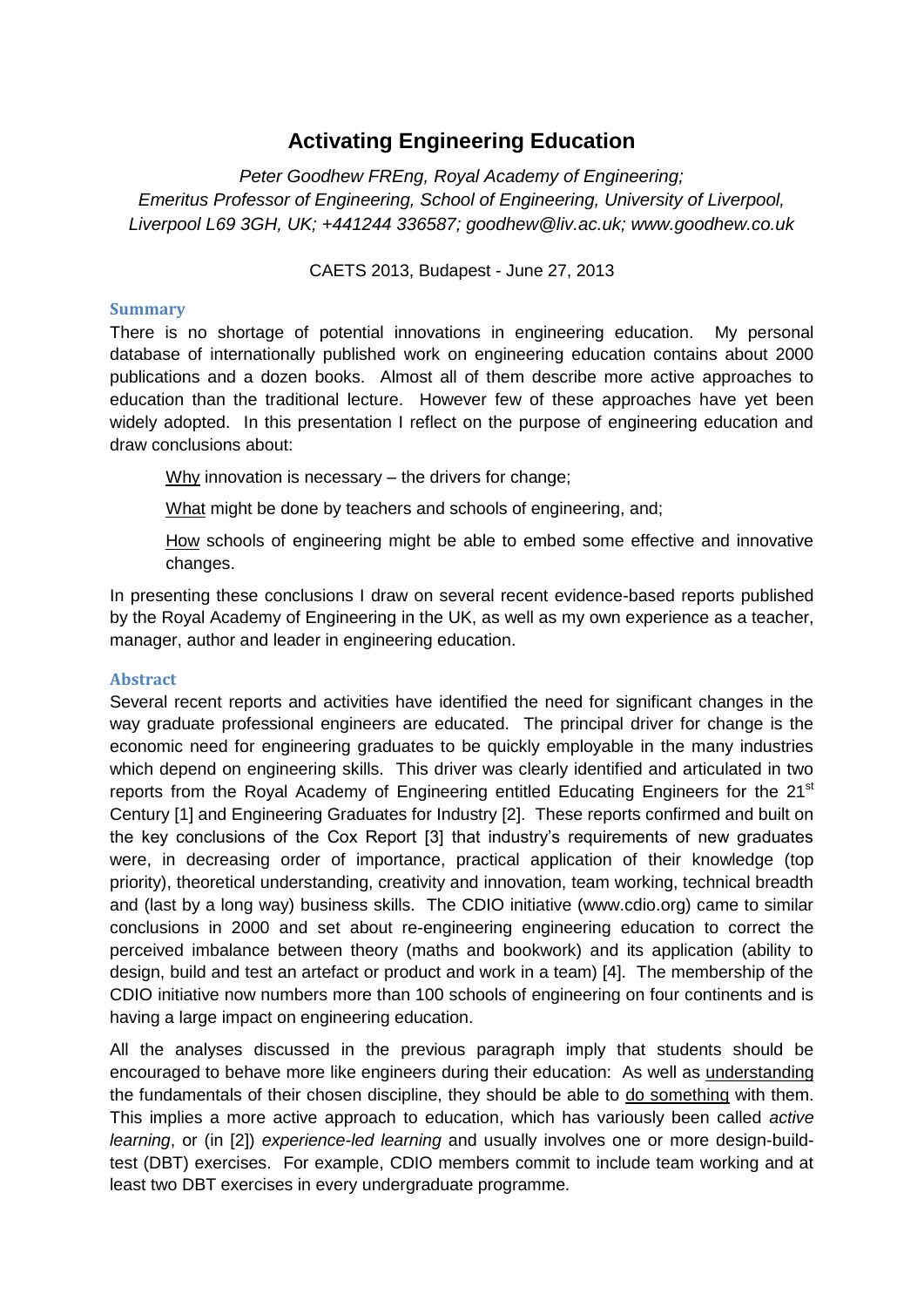## **Activating Engineering Education**

*Peter Goodhew FREng, Royal Academy of Engineering; Emeritus Professor of Engineering, School of Engineering, University of Liverpool, Liverpool L69 3GH, UK; +441244 336587; goodhew@liv.ac.uk; www.goodhew.co.uk*

CAETS 2013, Budapest - June 27, 2013

## **Summary**

There is no shortage of potential innovations in engineering education. My personal database of internationally published work on engineering education contains about 2000 publications and a dozen books. Almost all of them describe more active approaches to education than the traditional lecture. However few of these approaches have yet been widely adopted. In this presentation I reflect on the purpose of engineering education and draw conclusions about:

Why innovation is necessary – the drivers for change;

What might be done by teachers and schools of engineering, and:

How schools of engineering might be able to embed some effective and innovative changes.

In presenting these conclusions I draw on several recent evidence-based reports published by the Royal Academy of Engineering in the UK, as well as my own experience as a teacher, manager, author and leader in engineering education.

## **Abstract**

Several recent reports and activities have identified the need for significant changes in the way graduate professional engineers are educated. The principal driver for change is the economic need for engineering graduates to be quickly employable in the many industries which depend on engineering skills. This driver was clearly identified and articulated in two reports from the Royal Academy of Engineering entitled Educating Engineers for the 21<sup>st</sup> Century [1] and Engineering Graduates for Industry [2]. These reports confirmed and built on the key conclusions of the Cox Report [3] that industry's requirements of new graduates were, in decreasing order of importance, practical application of their knowledge (top priority), theoretical understanding, creativity and innovation, team working, technical breadth and (last by a long way) business skills. The CDIO initiative (www.cdio.org) came to similar conclusions in 2000 and set about re-engineering engineering education to correct the perceived imbalance between theory (maths and bookwork) and its application (ability to design, build and test an artefact or product and work in a team) [4]. The membership of the CDIO initiative now numbers more than 100 schools of engineering on four continents and is having a large impact on engineering education.

All the analyses discussed in the previous paragraph imply that students should be encouraged to behave more like engineers during their education: As well as understanding the fundamentals of their chosen discipline, they should be able to do something with them. This implies a more active approach to education, which has variously been called *active learning*, or (in [2]) *experience-led learning* and usually involves one or more design-buildtest (DBT) exercises. For example, CDIO members commit to include team working and at least two DBT exercises in every undergraduate programme.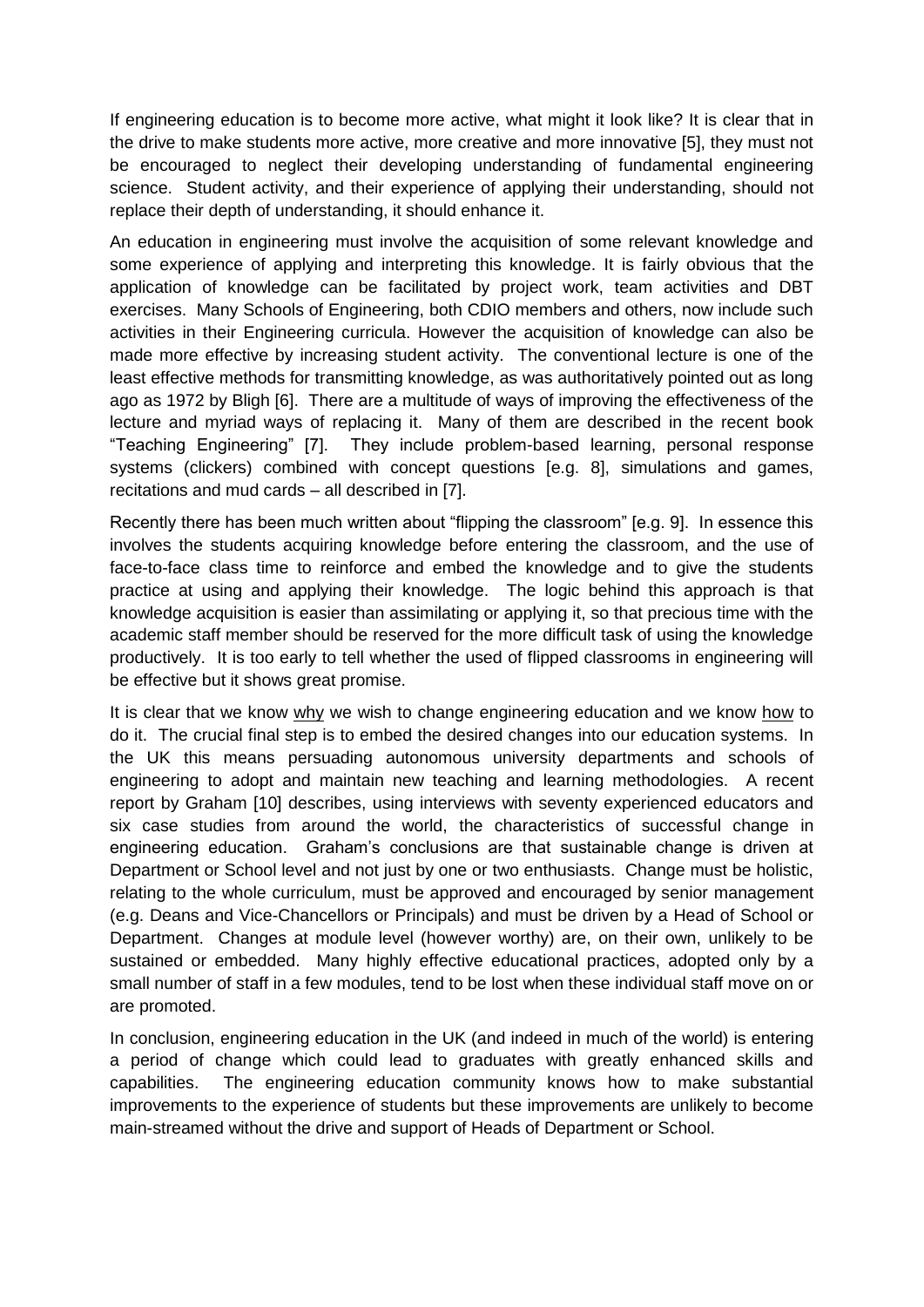If engineering education is to become more active, what might it look like? It is clear that in the drive to make students more active, more creative and more innovative [5], they must not be encouraged to neglect their developing understanding of fundamental engineering science. Student activity, and their experience of applying their understanding, should not replace their depth of understanding, it should enhance it.

An education in engineering must involve the acquisition of some relevant knowledge and some experience of applying and interpreting this knowledge. It is fairly obvious that the application of knowledge can be facilitated by project work, team activities and DBT exercises. Many Schools of Engineering, both CDIO members and others, now include such activities in their Engineering curricula. However the acquisition of knowledge can also be made more effective by increasing student activity. The conventional lecture is one of the least effective methods for transmitting knowledge, as was authoritatively pointed out as long ago as 1972 by Bligh [6]. There are a multitude of ways of improving the effectiveness of the lecture and myriad ways of replacing it. Many of them are described in the recent book "Teaching Engineering" [7]. They include problem-based learning, personal response systems (clickers) combined with concept questions [e.g. 8], simulations and games, recitations and mud cards – all described in [7].

Recently there has been much written about "flipping the classroom" [e.g. 9]. In essence this involves the students acquiring knowledge before entering the classroom, and the use of face-to-face class time to reinforce and embed the knowledge and to give the students practice at using and applying their knowledge. The logic behind this approach is that knowledge acquisition is easier than assimilating or applying it, so that precious time with the academic staff member should be reserved for the more difficult task of using the knowledge productively. It is too early to tell whether the used of flipped classrooms in engineering will be effective but it shows great promise.

It is clear that we know why we wish to change engineering education and we know how to do it. The crucial final step is to embed the desired changes into our education systems. In the UK this means persuading autonomous university departments and schools of engineering to adopt and maintain new teaching and learning methodologies. A recent report by Graham [10] describes, using interviews with seventy experienced educators and six case studies from around the world, the characteristics of successful change in engineering education. Graham's conclusions are that sustainable change is driven at Department or School level and not just by one or two enthusiasts. Change must be holistic, relating to the whole curriculum, must be approved and encouraged by senior management (e.g. Deans and Vice-Chancellors or Principals) and must be driven by a Head of School or Department. Changes at module level (however worthy) are, on their own, unlikely to be sustained or embedded. Many highly effective educational practices, adopted only by a small number of staff in a few modules, tend to be lost when these individual staff move on or are promoted.

In conclusion, engineering education in the UK (and indeed in much of the world) is entering a period of change which could lead to graduates with greatly enhanced skills and capabilities. The engineering education community knows how to make substantial improvements to the experience of students but these improvements are unlikely to become main-streamed without the drive and support of Heads of Department or School.